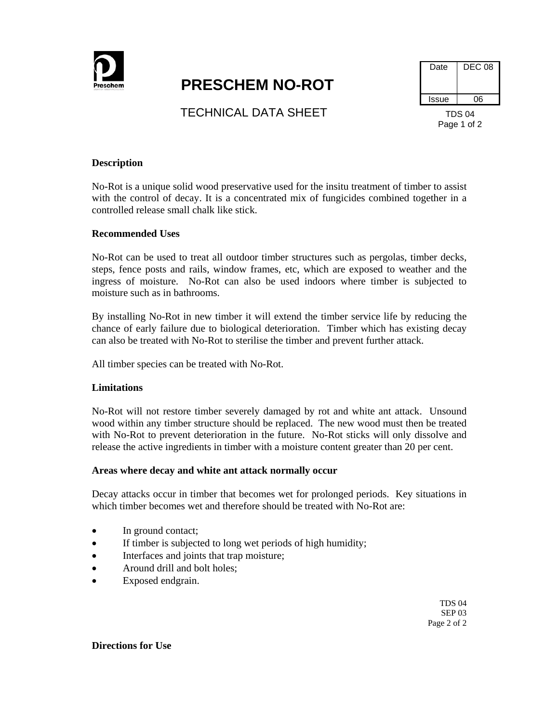

# **PRESCHEM NO-ROT**

| Date          | <b>DEC 08</b> |
|---------------|---------------|
| Issue         | റഭ            |
| <b>TDS 04</b> |               |

**TECHNICAL DATA SHEET** 

Page 1 of 2

## **Description**

No-Rot is a unique solid wood preservative used for the insitu treatment of timber to assist with the control of decay. It is a concentrated mix of fungicides combined together in a controlled release small chalk like stick.

## **Recommended Uses**

No-Rot can be used to treat all outdoor timber structures such as pergolas, timber decks, steps, fence posts and rails, window frames, etc, which are exposed to weather and the ingress of moisture. No-Rot can also be used indoors where timber is subjected to moisture such as in bathrooms.

By installing No-Rot in new timber it will extend the timber service life by reducing the chance of early failure due to biological deterioration. Timber which has existing decay can also be treated with No-Rot to sterilise the timber and prevent further attack.

All timber species can be treated with No-Rot.

#### **Limitations**

No-Rot will not restore timber severely damaged by rot and white ant attack. Unsound wood within any timber structure should be replaced. The new wood must then be treated with No-Rot to prevent deterioration in the future. No-Rot sticks will only dissolve and release the active ingredients in timber with a moisture content greater than 20 per cent.

#### **Areas where decay and white ant attack normally occur**

Decay attacks occur in timber that becomes wet for prolonged periods. Key situations in which timber becomes wet and therefore should be treated with No-Rot are:

- In ground contact;
- If timber is subjected to long wet periods of high humidity;
- Interfaces and joints that trap moisture;
- Around drill and bolt holes;
- Exposed endgrain.

TDS 04 SEP 03 Page 2 of 2

**Directions for Use**